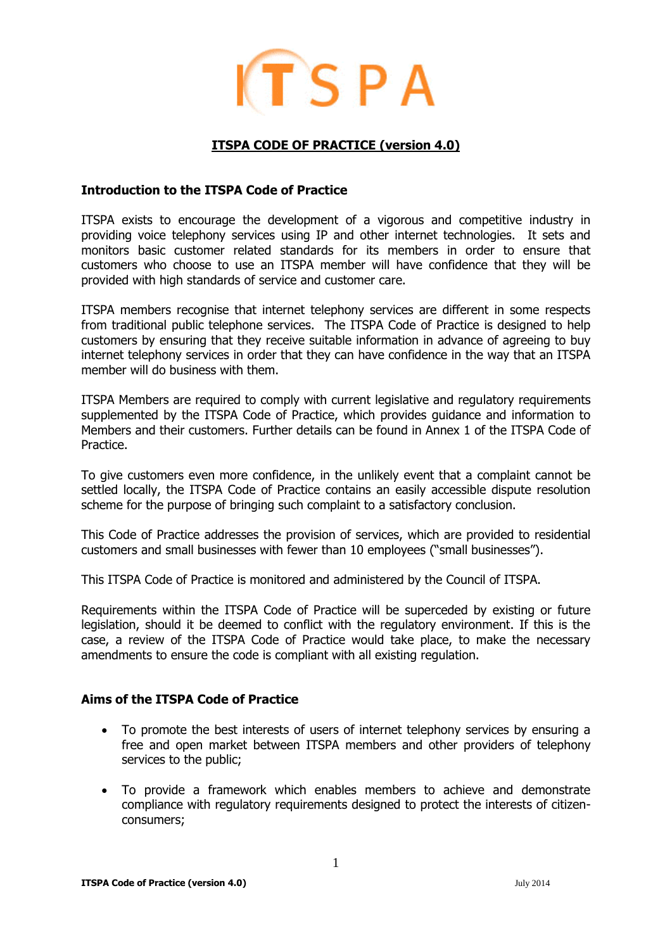

## **ITSPA CODE OF PRACTICE (version 4.0)**

#### **Introduction to the ITSPA Code of Practice**

ITSPA exists to encourage the development of a vigorous and competitive industry in providing voice telephony services using IP and other internet technologies. It sets and monitors basic customer related standards for its members in order to ensure that customers who choose to use an ITSPA member will have confidence that they will be provided with high standards of service and customer care.

ITSPA members recognise that internet telephony services are different in some respects from traditional public telephone services. The ITSPA Code of Practice is designed to help customers by ensuring that they receive suitable information in advance of agreeing to buy internet telephony services in order that they can have confidence in the way that an ITSPA member will do business with them.

ITSPA Members are required to comply with current legislative and regulatory requirements supplemented by the ITSPA Code of Practice, which provides guidance and information to Members and their customers. Further details can be found in Annex 1 of the ITSPA Code of Practice.

To give customers even more confidence, in the unlikely event that a complaint cannot be settled locally, the ITSPA Code of Practice contains an easily accessible dispute resolution scheme for the purpose of bringing such complaint to a satisfactory conclusion.

This Code of Practice addresses the provision of services, which are provided to residential customers and small businesses with fewer than 10 employees ("small businesses").

This ITSPA Code of Practice is monitored and administered by the Council of ITSPA.

Requirements within the ITSPA Code of Practice will be superceded by existing or future legislation, should it be deemed to conflict with the regulatory environment. If this is the case, a review of the ITSPA Code of Practice would take place, to make the necessary amendments to ensure the code is compliant with all existing regulation.

## **Aims of the ITSPA Code of Practice**

- To promote the best interests of users of internet telephony services by ensuring a free and open market between ITSPA members and other providers of telephony services to the public;
- To provide a framework which enables members to achieve and demonstrate compliance with regulatory requirements designed to protect the interests of citizenconsumers;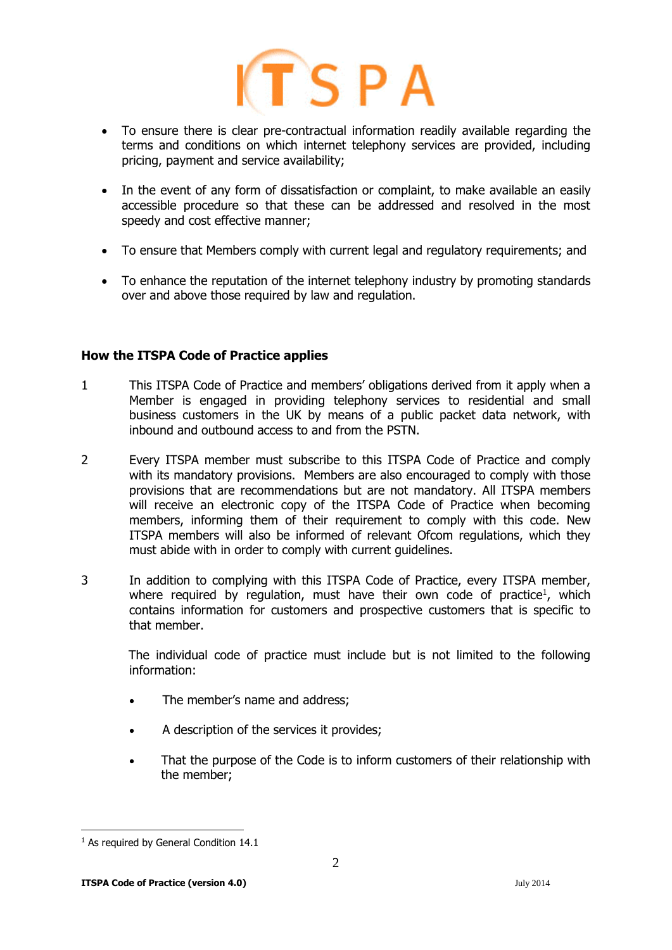

- To ensure there is clear pre-contractual information readily available regarding the terms and conditions on which internet telephony services are provided, including pricing, payment and service availability;
- In the event of any form of dissatisfaction or complaint, to make available an easily accessible procedure so that these can be addressed and resolved in the most speedy and cost effective manner;
- To ensure that Members comply with current legal and regulatory requirements; and
- To enhance the reputation of the internet telephony industry by promoting standards over and above those required by law and regulation.

## **How the ITSPA Code of Practice applies**

- 1 This ITSPA Code of Practice and members' obligations derived from it apply when a Member is engaged in providing telephony services to residential and small business customers in the UK by means of a public packet data network, with inbound and outbound access to and from the PSTN.
- 2 Every ITSPA member must subscribe to this ITSPA Code of Practice and comply with its mandatory provisions. Members are also encouraged to comply with those provisions that are recommendations but are not mandatory. All ITSPA members will receive an electronic copy of the ITSPA Code of Practice when becoming members, informing them of their requirement to comply with this code. New ITSPA members will also be informed of relevant Ofcom regulations, which they must abide with in order to comply with current guidelines.
- 3 In addition to complying with this ITSPA Code of Practice, every ITSPA member, where required by regulation, must have their own code of practice<sup>1</sup>, which contains information for customers and prospective customers that is specific to that member.

The individual code of practice must include but is not limited to the following information:

- The member's name and address;
- A description of the services it provides;
- That the purpose of the Code is to inform customers of their relationship with the member;

-

<sup>&</sup>lt;sup>1</sup> As required by General Condition 14.1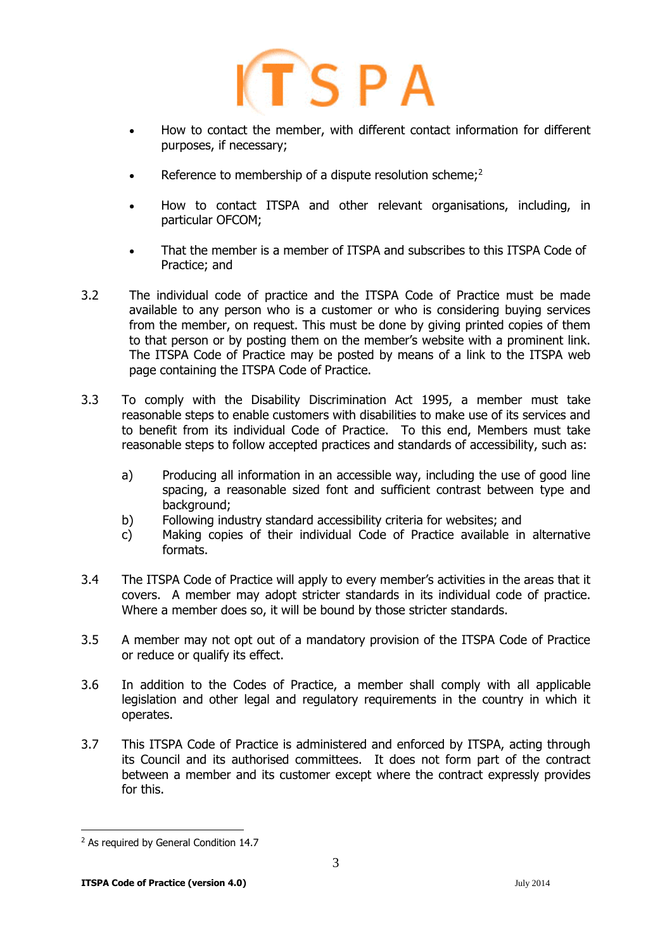# $ITSPA$

- How to contact the member, with different contact information for different purposes, if necessary;
- Reference to membership of a dispute resolution scheme;<sup>2</sup>
- How to contact ITSPA and other relevant organisations, including, in particular OFCOM;
- That the member is a member of ITSPA and subscribes to this ITSPA Code of Practice; and
- 3.2 The individual code of practice and the ITSPA Code of Practice must be made available to any person who is a customer or who is considering buying services from the member, on request. This must be done by giving printed copies of them to that person or by posting them on the member's website with a prominent link. The ITSPA Code of Practice may be posted by means of a link to the ITSPA web page containing the ITSPA Code of Practice.
- 3.3 To comply with the Disability Discrimination Act 1995, a member must take reasonable steps to enable customers with disabilities to make use of its services and to benefit from its individual Code of Practice. To this end, Members must take reasonable steps to follow accepted practices and standards of accessibility, such as:
	- a) Producing all information in an accessible way, including the use of good line spacing, a reasonable sized font and sufficient contrast between type and background;
	- b) Following industry standard accessibility criteria for websites; and
	- c) Making copies of their individual Code of Practice available in alternative formats.
- 3.4 The ITSPA Code of Practice will apply to every member's activities in the areas that it covers. A member may adopt stricter standards in its individual code of practice. Where a member does so, it will be bound by those stricter standards.
- 3.5 A member may not opt out of a mandatory provision of the ITSPA Code of Practice or reduce or qualify its effect.
- 3.6 In addition to the Codes of Practice, a member shall comply with all applicable legislation and other legal and regulatory requirements in the country in which it operates.
- 3.7 This ITSPA Code of Practice is administered and enforced by ITSPA, acting through its Council and its authorised committees. It does not form part of the contract between a member and its customer except where the contract expressly provides for this.

3

<sup>-</sup><sup>2</sup> As required by General Condition 14.7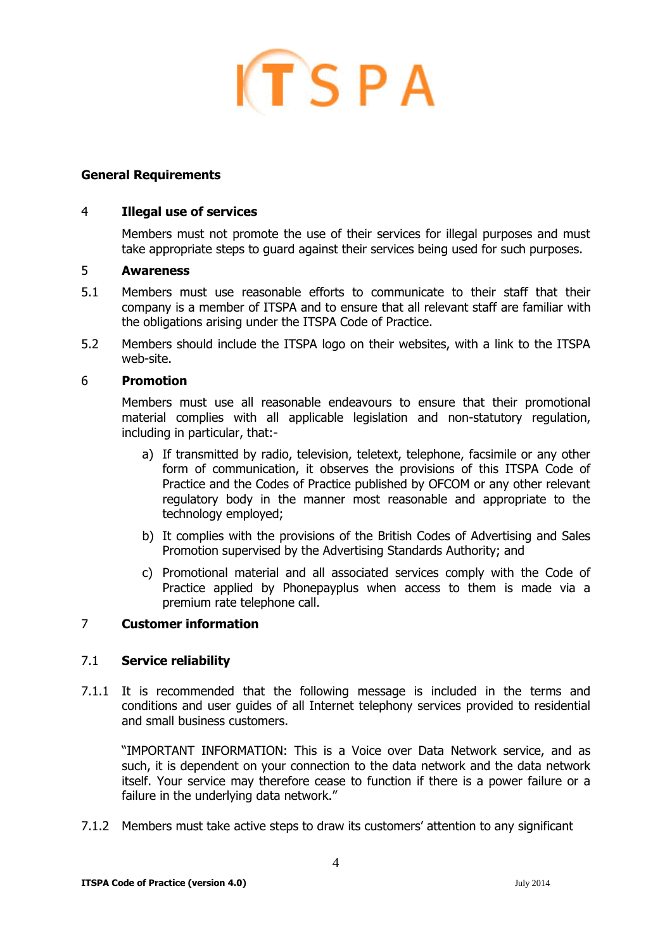

## **General Requirements**

#### 4 **Illegal use of services**

Members must not promote the use of their services for illegal purposes and must take appropriate steps to guard against their services being used for such purposes.

#### 5 **Awareness**

- 5.1 Members must use reasonable efforts to communicate to their staff that their company is a member of ITSPA and to ensure that all relevant staff are familiar with the obligations arising under the ITSPA Code of Practice.
- 5.2 Members should include the ITSPA logo on their websites, with a link to the ITSPA web-site.

#### 6 **Promotion**

Members must use all reasonable endeavours to ensure that their promotional material complies with all applicable legislation and non-statutory regulation, including in particular, that:-

- a) If transmitted by radio, television, teletext, telephone, facsimile or any other form of communication, it observes the provisions of this ITSPA Code of Practice and the Codes of Practice published by OFCOM or any other relevant regulatory body in the manner most reasonable and appropriate to the technology employed;
- b) It complies with the provisions of the British Codes of Advertising and Sales Promotion supervised by the Advertising Standards Authority; and
- c) Promotional material and all associated services comply with the Code of Practice applied by Phonepayplus when access to them is made via a premium rate telephone call.

## 7 **Customer information**

## 7.1 **Service reliability**

7.1.1 It is recommended that the following message is included in the terms and conditions and user guides of all Internet telephony services provided to residential and small business customers.

"IMPORTANT INFORMATION: This is a Voice over Data Network service, and as such, it is dependent on your connection to the data network and the data network itself. Your service may therefore cease to function if there is a power failure or a failure in the underlying data network."

7.1.2 Members must take active steps to draw its customers' attention to any significant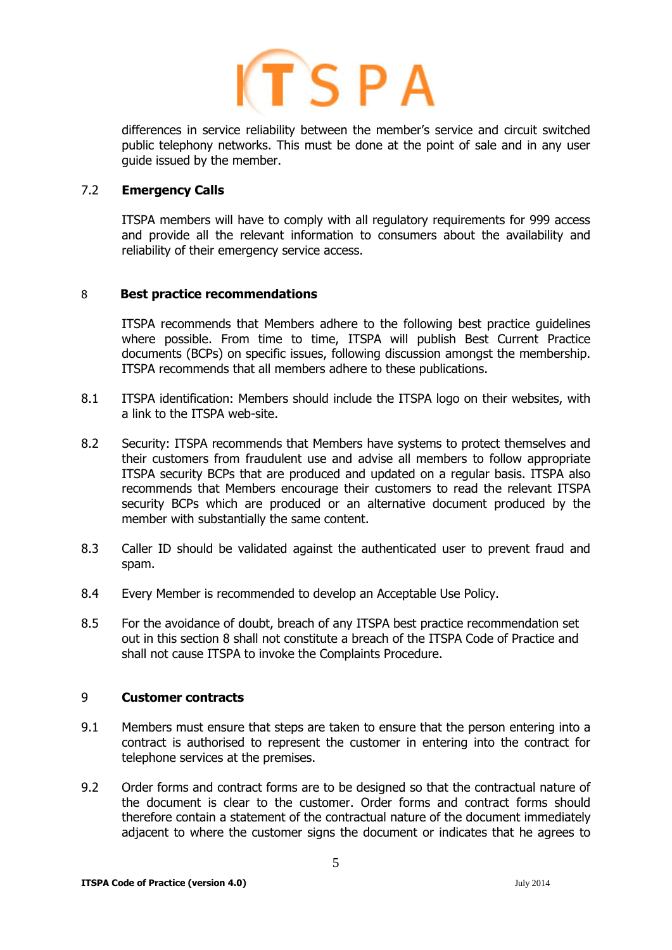

differences in service reliability between the member's service and circuit switched public telephony networks. This must be done at the point of sale and in any user guide issued by the member.

#### 7.2 **Emergency Calls**

ITSPA members will have to comply with all regulatory requirements for 999 access and provide all the relevant information to consumers about the availability and reliability of their emergency service access.

## 8 **Best practice recommendations**

ITSPA recommends that Members adhere to the following best practice guidelines where possible. From time to time, ITSPA will publish Best Current Practice documents (BCPs) on specific issues, following discussion amongst the membership. ITSPA recommends that all members adhere to these publications.

- 8.1 ITSPA identification: Members should include the ITSPA logo on their websites, with a link to the ITSPA web-site.
- 8.2 Security: ITSPA recommends that Members have systems to protect themselves and their customers from fraudulent use and advise all members to follow appropriate ITSPA security BCPs that are produced and updated on a regular basis. ITSPA also recommends that Members encourage their customers to read the relevant ITSPA security BCPs which are produced or an alternative document produced by the member with substantially the same content.
- 8.3 Caller ID should be validated against the authenticated user to prevent fraud and spam.
- 8.4 Every Member is recommended to develop an Acceptable Use Policy.
- 8.5 For the avoidance of doubt, breach of any ITSPA best practice recommendation set out in this section 8 shall not constitute a breach of the ITSPA Code of Practice and shall not cause ITSPA to invoke the Complaints Procedure.

#### 9 **Customer contracts**

- 9.1 Members must ensure that steps are taken to ensure that the person entering into a contract is authorised to represent the customer in entering into the contract for telephone services at the premises.
- 9.2 Order forms and contract forms are to be designed so that the contractual nature of the document is clear to the customer. Order forms and contract forms should therefore contain a statement of the contractual nature of the document immediately adjacent to where the customer signs the document or indicates that he agrees to

5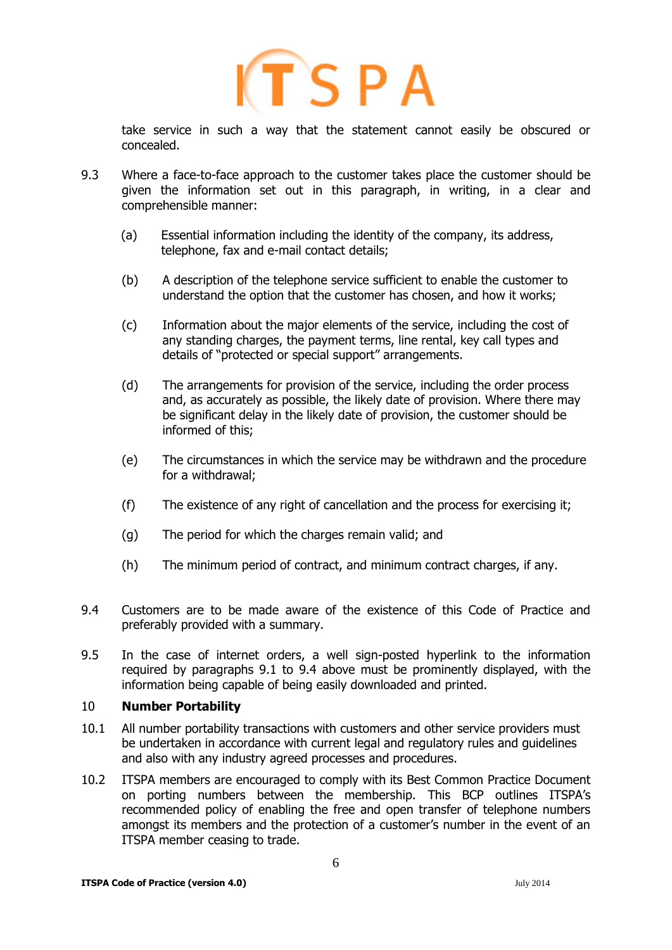

take service in such a way that the statement cannot easily be obscured or concealed.

- 9.3 Where a face-to-face approach to the customer takes place the customer should be given the information set out in this paragraph, in writing, in a clear and comprehensible manner:
	- (a) Essential information including the identity of the company, its address, telephone, fax and e-mail contact details;
	- (b) A description of the telephone service sufficient to enable the customer to understand the option that the customer has chosen, and how it works;
	- (c) Information about the major elements of the service, including the cost of any standing charges, the payment terms, line rental, key call types and details of "protected or special support" arrangements.
	- (d) The arrangements for provision of the service, including the order process and, as accurately as possible, the likely date of provision. Where there may be significant delay in the likely date of provision, the customer should be informed of this;
	- (e) The circumstances in which the service may be withdrawn and the procedure for a withdrawal;
	- (f) The existence of any right of cancellation and the process for exercising it;
	- (g) The period for which the charges remain valid; and
	- (h) The minimum period of contract, and minimum contract charges, if any.
- 9.4 Customers are to be made aware of the existence of this Code of Practice and preferably provided with a summary.
- 9.5 In the case of internet orders, a well sign-posted hyperlink to the information required by paragraphs 9.1 to 9.4 above must be prominently displayed, with the information being capable of being easily downloaded and printed.

## 10 **Number Portability**

- 10.1 All number portability transactions with customers and other service providers must be undertaken in accordance with current legal and regulatory rules and guidelines and also with any industry agreed processes and procedures.
- 10.2 ITSPA members are encouraged to comply with its Best Common Practice Document on porting numbers between the membership. This BCP outlines ITSPA's recommended policy of enabling the free and open transfer of telephone numbers amongst its members and the protection of a customer's number in the event of an ITSPA member ceasing to trade.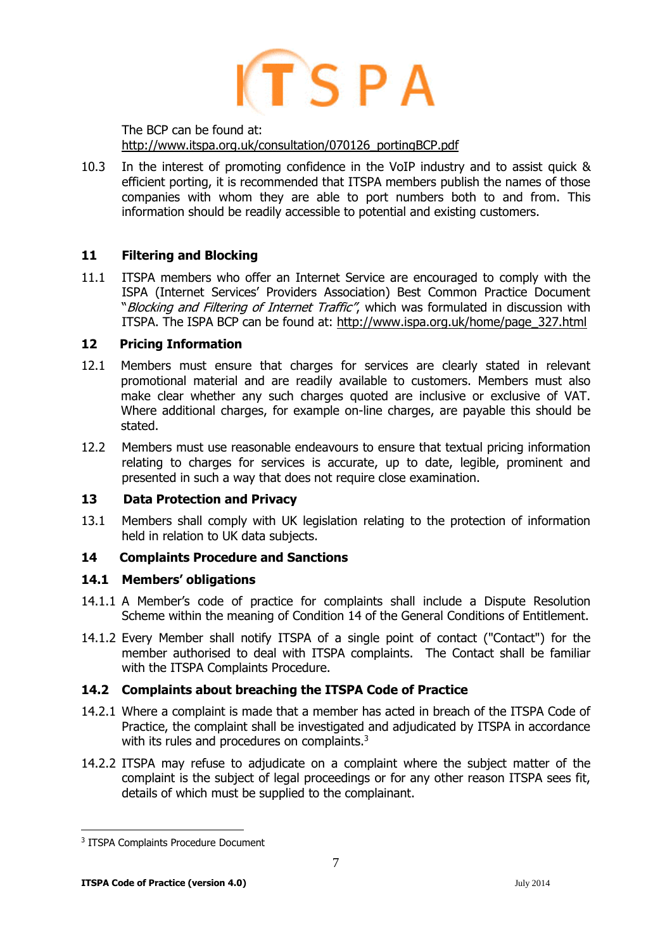# $(TSPA$

The BCP can be found at: [http://www.itspa.org.uk/consultation/070126\\_portingBCP.pdf](http://www.itspa.org.uk/consultation/070126_portingBCP.pdf)

10.3 In the interest of promoting confidence in the VoIP industry and to assist quick & efficient porting, it is recommended that ITSPA members publish the names of those companies with whom they are able to port numbers both to and from. This information should be readily accessible to potential and existing customers.

# **11 Filtering and Blocking**

11.1 ITSPA members who offer an Internet Service are encouraged to comply with the ISPA (Internet Services' Providers Association) Best Common Practice Document "Blocking and Filtering of Internet Traffic", which was formulated in discussion with ITSPA. The ISPA BCP can be found at: [http://www.ispa.org.uk/home/page\\_327.html](http://www.ispa.org.uk/home/page_327.html)

## **12 Pricing Information**

- 12.1 Members must ensure that charges for services are clearly stated in relevant promotional material and are readily available to customers. Members must also make clear whether any such charges quoted are inclusive or exclusive of VAT. Where additional charges, for example on-line charges, are payable this should be stated.
- 12.2 Members must use reasonable endeavours to ensure that textual pricing information relating to charges for services is accurate, up to date, legible, prominent and presented in such a way that does not require close examination.

# **13 Data Protection and Privacy**

13.1 Members shall comply with UK legislation relating to the protection of information held in relation to UK data subjects.

# **14 Complaints Procedure and Sanctions**

# **14.1 Members' obligations**

- 14.1.1 A Member's code of practice for complaints shall include a Dispute Resolution Scheme within the meaning of Condition 14 of the General Conditions of Entitlement.
- 14.1.2 Every Member shall notify ITSPA of a single point of contact ("Contact") for the member authorised to deal with ITSPA complaints. The Contact shall be familiar with the ITSPA Complaints Procedure.

# **14.2 Complaints about breaching the ITSPA Code of Practice**

- 14.2.1 Where a complaint is made that a member has acted in breach of the ITSPA Code of Practice, the complaint shall be investigated and adjudicated by ITSPA in accordance with its rules and procedures on complaints. $3$
- 14.2.2 ITSPA may refuse to adjudicate on a complaint where the subject matter of the complaint is the subject of legal proceedings or for any other reason ITSPA sees fit, details of which must be supplied to the complainant.

<sup>-</sup>3 ITSPA Complaints Procedure Document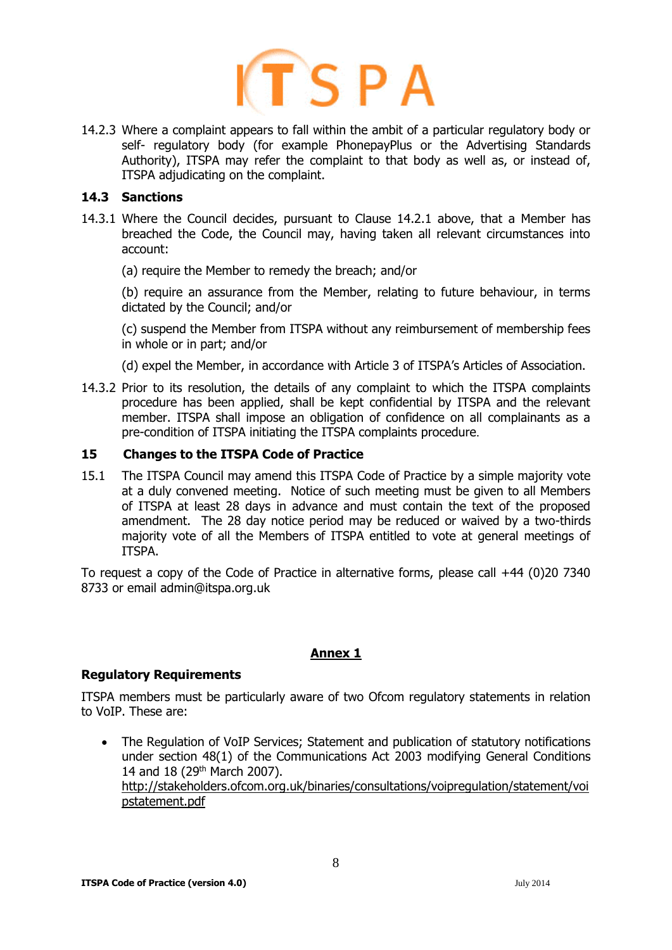

14.2.3 Where a complaint appears to fall within the ambit of a particular regulatory body or self- regulatory body (for example PhonepayPlus or the Advertising Standards Authority), ITSPA may refer the complaint to that body as well as, or instead of, ITSPA adjudicating on the complaint.

## **14.3 Sanctions**

- 14.3.1 Where the Council decides, pursuant to Clause 14.2.1 above, that a Member has breached the Code, the Council may, having taken all relevant circumstances into account:
	- (a) require the Member to remedy the breach; and/or

(b) require an assurance from the Member, relating to future behaviour, in terms dictated by the Council; and/or

(c) suspend the Member from ITSPA without any reimbursement of membership fees in whole or in part; and/or

- (d) expel the Member, in accordance with Article 3 of ITSPA's Articles of Association.
- 14.3.2 Prior to its resolution, the details of any complaint to which the ITSPA complaints procedure has been applied, shall be kept confidential by ITSPA and the relevant member. ITSPA shall impose an obligation of confidence on all complainants as a pre-condition of ITSPA initiating the ITSPA complaints procedure.

#### **15 Changes to the ITSPA Code of Practice**

15.1 The ITSPA Council may amend this ITSPA Code of Practice by a simple majority vote at a duly convened meeting. Notice of such meeting must be given to all Members of ITSPA at least 28 days in advance and must contain the text of the proposed amendment. The 28 day notice period may be reduced or waived by a two-thirds majority vote of all the Members of ITSPA entitled to vote at general meetings of ITSPA.

To request a copy of the Code of Practice in alternative forms, please call +44 (0)20 7340 8733 or email admin@itspa.org.uk

## **Annex 1**

#### **Regulatory Requirements**

ITSPA members must be particularly aware of two Ofcom regulatory statements in relation to VoIP. These are:

• The Regulation of VoIP Services; Statement and publication of statutory notifications under section 48(1) of the Communications Act 2003 modifying General Conditions 14 and 18 (29<sup>th</sup> March 2007). [http://stakeholders.ofcom.org.uk/binaries/consultations/voipregulation/statement/voi](http://stakeholders.ofcom.org.uk/binaries/consultations/voipregulation/statement/voipstatement.pdf) [pstatement.pdf](http://stakeholders.ofcom.org.uk/binaries/consultations/voipregulation/statement/voipstatement.pdf)